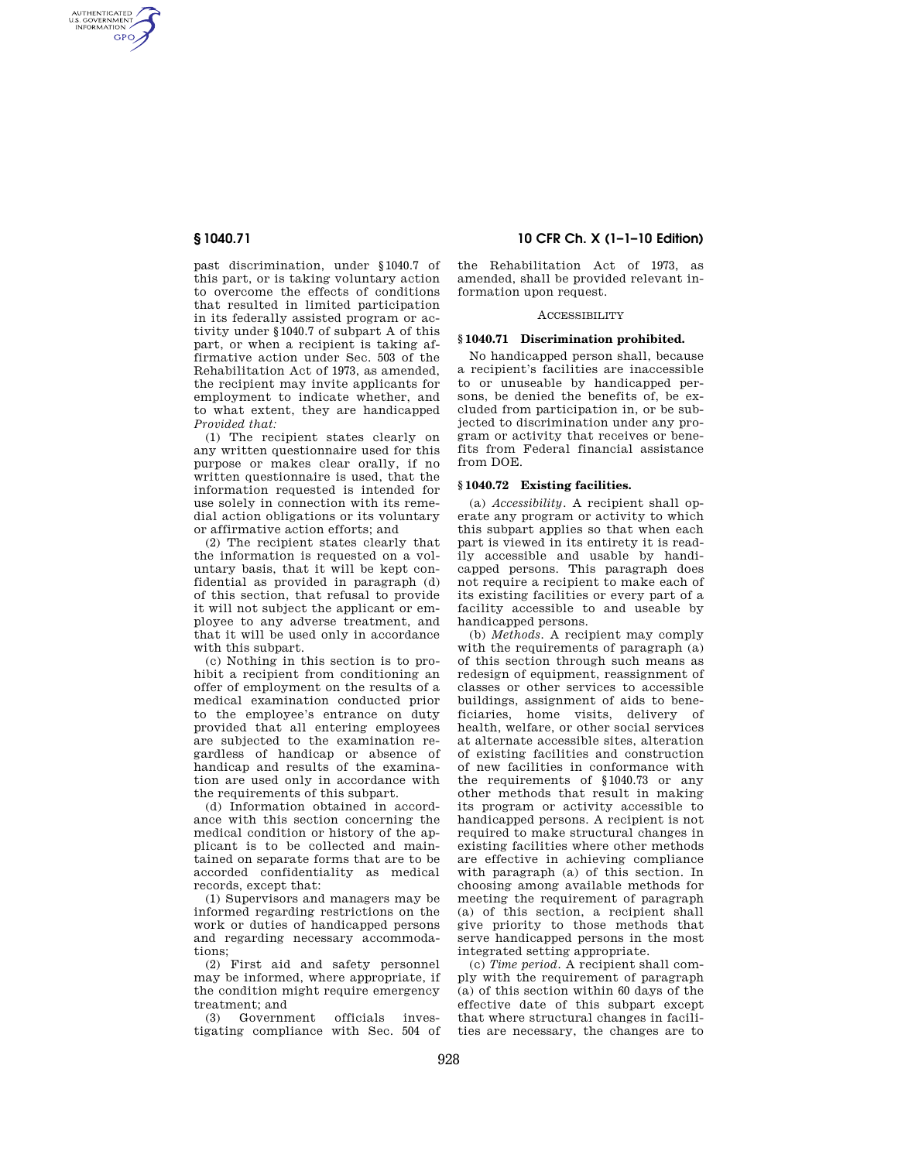AUTHENTICATED<br>U.S. GOVERNMENT<br>INFORMATION **GPO** 

> past discrimination, under §1040.7 of this part, or is taking voluntary action to overcome the effects of conditions that resulted in limited participation in its federally assisted program or activity under §1040.7 of subpart A of this part, or when a recipient is taking affirmative action under Sec. 503 of the Rehabilitation Act of 1973, as amended, the recipient may invite applicants for employment to indicate whether, and to what extent, they are handicapped *Provided that:*

> (1) The recipient states clearly on any written questionnaire used for this purpose or makes clear orally, if no written questionnaire is used, that the information requested is intended for use solely in connection with its remedial action obligations or its voluntary or affirmative action efforts; and

> (2) The recipient states clearly that the information is requested on a voluntary basis, that it will be kept confidential as provided in paragraph (d) of this section, that refusal to provide it will not subject the applicant or employee to any adverse treatment, and that it will be used only in accordance with this subpart.

> (c) Nothing in this section is to prohibit a recipient from conditioning an offer of employment on the results of a medical examination conducted prior to the employee's entrance on duty provided that all entering employees are subjected to the examination regardless of handicap or absence of handicap and results of the examination are used only in accordance with the requirements of this subpart.

> (d) Information obtained in accordance with this section concerning the medical condition or history of the applicant is to be collected and maintained on separate forms that are to be accorded confidentiality as medical records, except that:

> (1) Supervisors and managers may be informed regarding restrictions on the work or duties of handicapped persons and regarding necessary accommodations;

> (2) First aid and safety personnel may be informed, where appropriate, if the condition might require emergency treatment; and

> (3) Government officials investigating compliance with Sec. 504 of

**§ 1040.71 10 CFR Ch. X (1–1–10 Edition)** 

the Rehabilitation Act of 1973, as amended, shall be provided relevant information upon request.

#### **ACCESSIBILITY**

# **§ 1040.71 Discrimination prohibited.**

No handicapped person shall, because a recipient's facilities are inaccessible to or unuseable by handicapped persons, be denied the benefits of, be excluded from participation in, or be subjected to discrimination under any program or activity that receives or benefits from Federal financial assistance from DOE.

## **§ 1040.72 Existing facilities.**

(a) *Accessibility.* A recipient shall operate any program or activity to which this subpart applies so that when each part is viewed in its entirety it is readily accessible and usable by handicapped persons. This paragraph does not require a recipient to make each of its existing facilities or every part of a facility accessible to and useable by handicapped persons.

(b) *Methods.* A recipient may comply with the requirements of paragraph (a) of this section through such means as redesign of equipment, reassignment of classes or other services to accessible buildings, assignment of aids to beneficiaries, home visits, delivery of health, welfare, or other social services at alternate accessible sites, alteration of existing facilities and construction of new facilities in conformance with the requirements of §1040.73 or any other methods that result in making its program or activity accessible to handicapped persons. A recipient is not required to make structural changes in existing facilities where other methods are effective in achieving compliance with paragraph (a) of this section. In choosing among available methods for meeting the requirement of paragraph (a) of this section, a recipient shall give priority to those methods that serve handicapped persons in the most integrated setting appropriate.

(c) *Time period.* A recipient shall comply with the requirement of paragraph (a) of this section within 60 days of the effective date of this subpart except that where structural changes in facilities are necessary, the changes are to